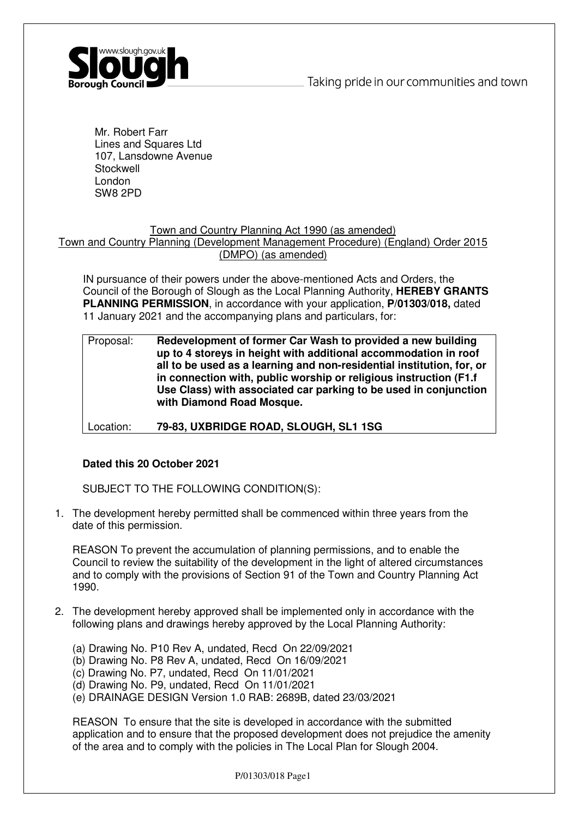

Mr. Robert Farr Lines and Squares Ltd 107, Lansdowne Avenue **Stockwell** London SW8 2PD

# Town and Country Planning Act 1990 (as amended)

# Town and Country Planning (Development Management Procedure) (England) Order 2015 (DMPO) (as amended)

IN pursuance of their powers under the above-mentioned Acts and Orders, the Council of the Borough of Slough as the Local Planning Authority, **HEREBY GRANTS PLANNING PERMISSION**, in accordance with your application, **P/01303/018,** dated 11 January 2021 and the accompanying plans and particulars, for:

Proposal: **Redevelopment of former Car Wash to provided a new building up to 4 storeys in height with additional accommodation in roof all to be used as a learning and non-residential institution, for, or in connection with, public worship or religious instruction (F1.f Use Class) with associated car parking to be used in conjunction with Diamond Road Mosque.** 

Location: **79-83, UXBRIDGE ROAD, SLOUGH, SL1 1SG**

# **Dated this 20 October 2021**

SUBJECT TO THE FOLLOWING CONDITION(S):

1. The development hereby permitted shall be commenced within three years from the date of this permission.

REASON To prevent the accumulation of planning permissions, and to enable the Council to review the suitability of the development in the light of altered circumstances and to comply with the provisions of Section 91 of the Town and Country Planning Act 1990.

- 2. The development hereby approved shall be implemented only in accordance with the following plans and drawings hereby approved by the Local Planning Authority:
	- (a) Drawing No. P10 Rev A, undated, Recd On 22/09/2021
	- (b) Drawing No. P8 Rev A, undated, Recd On 16/09/2021
	- (c) Drawing No. P7, undated, Recd On 11/01/2021
	- (d) Drawing No. P9, undated, Recd On 11/01/2021
	- (e) DRAINAGE DESIGN Version 1.0 RAB: 2689B, dated 23/03/2021

REASON To ensure that the site is developed in accordance with the submitted application and to ensure that the proposed development does not prejudice the amenity of the area and to comply with the policies in The Local Plan for Slough 2004.

P/01303/018 Page1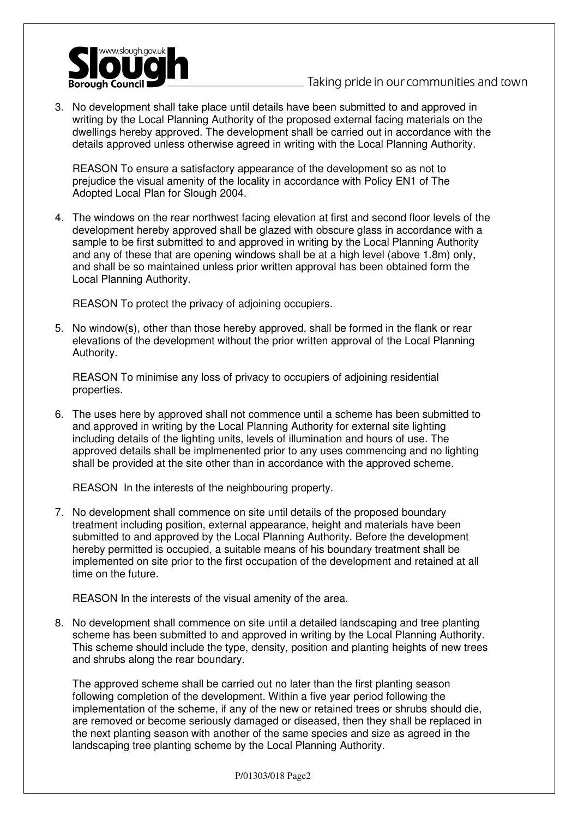

3. No development shall take place until details have been submitted to and approved in writing by the Local Planning Authority of the proposed external facing materials on the dwellings hereby approved. The development shall be carried out in accordance with the details approved unless otherwise agreed in writing with the Local Planning Authority.

REASON To ensure a satisfactory appearance of the development so as not to prejudice the visual amenity of the locality in accordance with Policy EN1 of The Adopted Local Plan for Slough 2004.

4. The windows on the rear northwest facing elevation at first and second floor levels of the development hereby approved shall be glazed with obscure glass in accordance with a sample to be first submitted to and approved in writing by the Local Planning Authority and any of these that are opening windows shall be at a high level (above 1.8m) only, and shall be so maintained unless prior written approval has been obtained form the Local Planning Authority.

REASON To protect the privacy of adjoining occupiers.

5. No window(s), other than those hereby approved, shall be formed in the flank or rear elevations of the development without the prior written approval of the Local Planning Authority.

REASON To minimise any loss of privacy to occupiers of adjoining residential properties.

6. The uses here by approved shall not commence until a scheme has been submitted to and approved in writing by the Local Planning Authority for external site lighting including details of the lighting units, levels of illumination and hours of use. The approved details shall be implmenented prior to any uses commencing and no lighting shall be provided at the site other than in accordance with the approved scheme.

REASON In the interests of the neighbouring property.

7. No development shall commence on site until details of the proposed boundary treatment including position, external appearance, height and materials have been submitted to and approved by the Local Planning Authority. Before the development hereby permitted is occupied, a suitable means of his boundary treatment shall be implemented on site prior to the first occupation of the development and retained at all time on the future.

REASON In the interests of the visual amenity of the area.

8. No development shall commence on site until a detailed landscaping and tree planting scheme has been submitted to and approved in writing by the Local Planning Authority. This scheme should include the type, density, position and planting heights of new trees and shrubs along the rear boundary.

The approved scheme shall be carried out no later than the first planting season following completion of the development. Within a five year period following the implementation of the scheme, if any of the new or retained trees or shrubs should die, are removed or become seriously damaged or diseased, then they shall be replaced in the next planting season with another of the same species and size as agreed in the landscaping tree planting scheme by the Local Planning Authority.

P/01303/018 Page2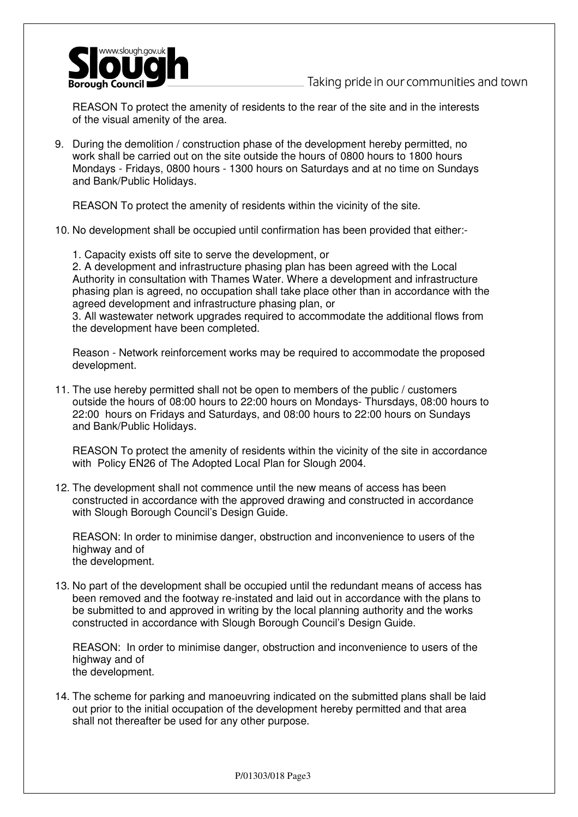

REASON To protect the amenity of residents to the rear of the site and in the interests of the visual amenity of the area.

9. During the demolition / construction phase of the development hereby permitted, no work shall be carried out on the site outside the hours of 0800 hours to 1800 hours Mondays - Fridays, 0800 hours - 1300 hours on Saturdays and at no time on Sundays and Bank/Public Holidays.

REASON To protect the amenity of residents within the vicinity of the site.

- 10. No development shall be occupied until confirmation has been provided that either:-
	- 1. Capacity exists off site to serve the development, or

2. A development and infrastructure phasing plan has been agreed with the Local Authority in consultation with Thames Water. Where a development and infrastructure phasing plan is agreed, no occupation shall take place other than in accordance with the agreed development and infrastructure phasing plan, or

3. All wastewater network upgrades required to accommodate the additional flows from the development have been completed.

Reason - Network reinforcement works may be required to accommodate the proposed development.

11. The use hereby permitted shall not be open to members of the public / customers outside the hours of 08:00 hours to 22:00 hours on Mondays- Thursdays, 08:00 hours to 22:00 hours on Fridays and Saturdays, and 08:00 hours to 22:00 hours on Sundays and Bank/Public Holidays.

REASON To protect the amenity of residents within the vicinity of the site in accordance with Policy EN26 of The Adopted Local Plan for Slough 2004.

12. The development shall not commence until the new means of access has been constructed in accordance with the approved drawing and constructed in accordance with Slough Borough Council's Design Guide.

REASON: In order to minimise danger, obstruction and inconvenience to users of the highway and of the development.

13. No part of the development shall be occupied until the redundant means of access has been removed and the footway re-instated and laid out in accordance with the plans to be submitted to and approved in writing by the local planning authority and the works constructed in accordance with Slough Borough Council's Design Guide.

REASON: In order to minimise danger, obstruction and inconvenience to users of the highway and of the development.

14. The scheme for parking and manoeuvring indicated on the submitted plans shall be laid out prior to the initial occupation of the development hereby permitted and that area shall not thereafter be used for any other purpose.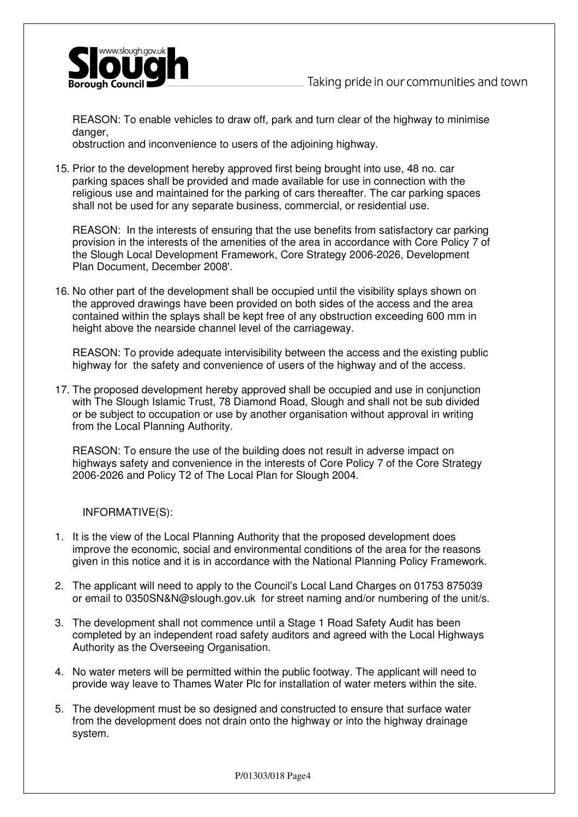

REASON: To enable vehicles to draw off, park and turn clear of the highway to minimise danger.

obstruction and inconvenience to users of the adjoining highway.

15. Prior to the development hereby approved first being brought into use, 48 no. car parking spaces shall be provided and made available for use in connection with the religious use and maintained for the parking of cars thereafter. The car parking spaces shall not be used for any separate business, commercial, or residential use.

REASON: In the interests of ensuring that the use benefits from satisfactory car parking provision in the interests of the amenities of the area in accordance with Core Policy 7 of the Slough Local Development Framework, Core Strategy 2006-2026, Development Plan Document, December 2008'.

16. No other part of the development shall be occupied until the visibility splays shown on the approved drawings have been provided on both sides of the access and the area contained within the splays shall be kept free of any obstruction exceeding 600 mm in height above the nearside channel level of the carriageway.

REASON: To provide adequate intervisibility between the access and the existing public highway for the safety and convenience of users of the highway and of the access.

17. The proposed development hereby approved shall be occupied and use in conjunction with The Slough Islamic Trust, 78 Diamond Road, Slough and shall not be sub divided or be subject to occupation or use by another organisation without approval in writing from the Local Planning Authority.

REASON: To ensure the use of the building does not result in adverse impact on highways safety and convenience in the interests of Core Policy 7 of the Core Strategy 2006-2026 and Policy T2 of The Local Plan for Slough 2004.

INFORMATIVE(S):

- 1. It is the view of the Local Planning Authority that the proposed development does improve the economic, social and environmental conditions of the area for the reasons given in this notice and it is in accordance with the National Planning Policy Framework.
- 2. The applicant will need to apply to the Council's Local Land Charges on 01753 875039 or email to 0350SN&N@slough.gov.uk for street naming and/or numbering of the unit/s.
- 3. The development shall not commence until a Stage 1 Road Safety Audit has been completed by an independent road safety auditors and agreed with the Local Highways Authority as the Overseeing Organisation.
- 4. No water meters will be permitted within the public footway. The applicant will need to provide way leave to Thames Water Plc for installation of water meters within the site.
- 5. The development must be so designed and constructed to ensure that surface water from the development does not drain onto the highway or into the highway drainage system.

P/01303/018 Page4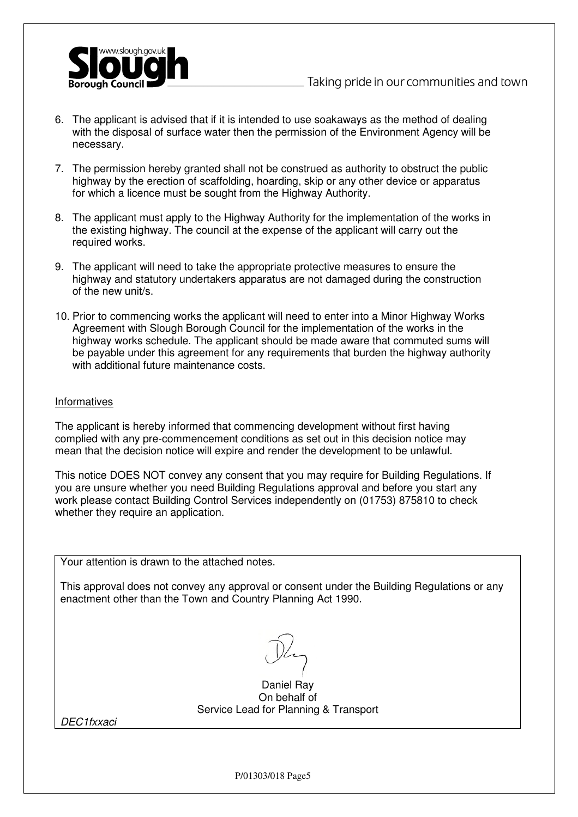

- 6. The applicant is advised that if it is intended to use soakaways as the method of dealing with the disposal of surface water then the permission of the Environment Agency will be necessary.
- 7. The permission hereby granted shall not be construed as authority to obstruct the public highway by the erection of scaffolding, hoarding, skip or any other device or apparatus for which a licence must be sought from the Highway Authority.
- 8. The applicant must apply to the Highway Authority for the implementation of the works in the existing highway. The council at the expense of the applicant will carry out the required works.
- 9. The applicant will need to take the appropriate protective measures to ensure the highway and statutory undertakers apparatus are not damaged during the construction of the new unit/s.
- 10. Prior to commencing works the applicant will need to enter into a Minor Highway Works Agreement with Slough Borough Council for the implementation of the works in the highway works schedule. The applicant should be made aware that commuted sums will be payable under this agreement for any requirements that burden the highway authority with additional future maintenance costs.

## Informatives

The applicant is hereby informed that commencing development without first having complied with any pre-commencement conditions as set out in this decision notice may mean that the decision notice will expire and render the development to be unlawful.

This notice DOES NOT convey any consent that you may require for Building Regulations. If you are unsure whether you need Building Regulations approval and before you start any work please contact Building Control Services independently on (01753) 875810 to check whether they require an application.

Your attention is drawn to the attached notes.

This approval does not convey any approval or consent under the Building Regulations or any enactment other than the Town and Country Planning Act 1990.

Daniel Ray On behalf of Service Lead for Planning & Transport

DEC1fxxaci

P/01303/018 Page5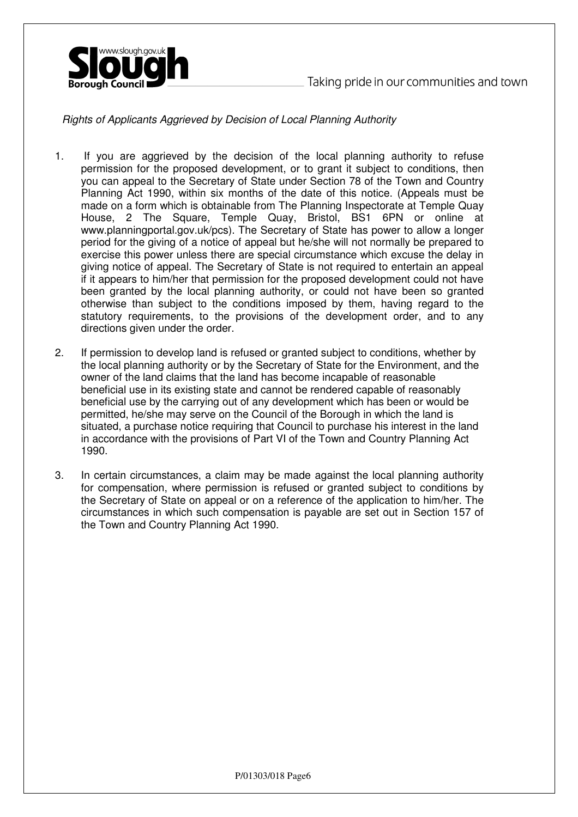



Rights of Applicants Aggrieved by Decision of Local Planning Authority

- 1. If you are aggrieved by the decision of the local planning authority to refuse permission for the proposed development, or to grant it subject to conditions, then you can appeal to the Secretary of State under Section 78 of the Town and Country Planning Act 1990, within six months of the date of this notice. (Appeals must be made on a form which is obtainable from The Planning Inspectorate at Temple Quay House, 2 The Square, Temple Quay, Bristol, BS1 6PN or online at www.planningportal.gov.uk/pcs). The Secretary of State has power to allow a longer period for the giving of a notice of appeal but he/she will not normally be prepared to exercise this power unless there are special circumstance which excuse the delay in giving notice of appeal. The Secretary of State is not required to entertain an appeal if it appears to him/her that permission for the proposed development could not have been granted by the local planning authority, or could not have been so granted otherwise than subject to the conditions imposed by them, having regard to the statutory requirements, to the provisions of the development order, and to any directions given under the order.
- 2. If permission to develop land is refused or granted subject to conditions, whether by the local planning authority or by the Secretary of State for the Environment, and the owner of the land claims that the land has become incapable of reasonable beneficial use in its existing state and cannot be rendered capable of reasonably beneficial use by the carrying out of any development which has been or would be permitted, he/she may serve on the Council of the Borough in which the land is situated, a purchase notice requiring that Council to purchase his interest in the land in accordance with the provisions of Part VI of the Town and Country Planning Act 1990.
- 3. In certain circumstances, a claim may be made against the local planning authority for compensation, where permission is refused or granted subject to conditions by the Secretary of State on appeal or on a reference of the application to him/her. The circumstances in which such compensation is payable are set out in Section 157 of the Town and Country Planning Act 1990.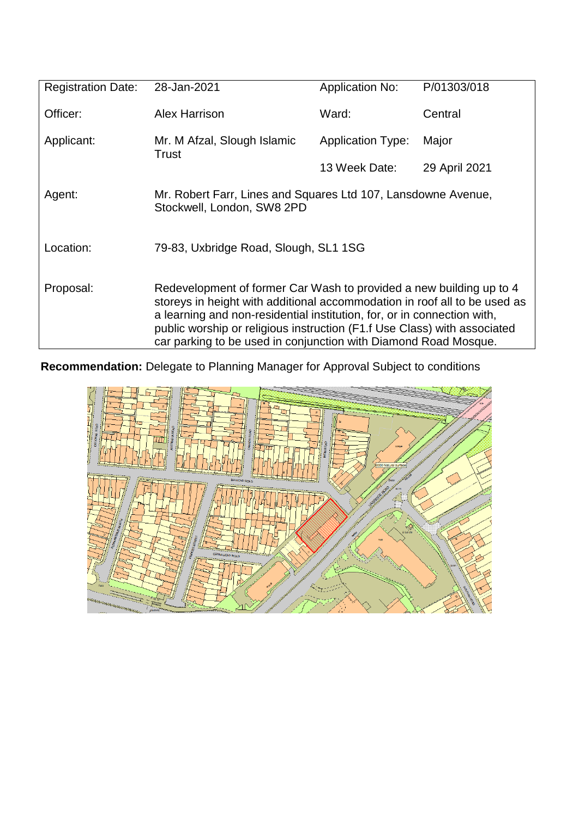| <b>Registration Date:</b> | 28-Jan-2021                                                                                                                                                                                                                                                                                                                                                                | <b>Application No:</b>   | P/01303/018   |
|---------------------------|----------------------------------------------------------------------------------------------------------------------------------------------------------------------------------------------------------------------------------------------------------------------------------------------------------------------------------------------------------------------------|--------------------------|---------------|
| Officer:                  | Alex Harrison                                                                                                                                                                                                                                                                                                                                                              | Ward:                    | Central       |
| Applicant:                | Mr. M Afzal, Slough Islamic<br>Trust                                                                                                                                                                                                                                                                                                                                       | <b>Application Type:</b> | Major         |
|                           |                                                                                                                                                                                                                                                                                                                                                                            | 13 Week Date:            | 29 April 2021 |
| Agent:                    | Mr. Robert Farr, Lines and Squares Ltd 107, Lansdowne Avenue,<br>Stockwell, London, SW8 2PD                                                                                                                                                                                                                                                                                |                          |               |
| Location:                 | 79-83, Uxbridge Road, Slough, SL1 1SG                                                                                                                                                                                                                                                                                                                                      |                          |               |
| Proposal:                 | Redevelopment of former Car Wash to provided a new building up to 4<br>storeys in height with additional accommodation in roof all to be used as<br>a learning and non-residential institution, for, or in connection with,<br>public worship or religious instruction (F1.f Use Class) with associated<br>car parking to be used in conjunction with Diamond Road Mosque. |                          |               |

**Recommendation:** Delegate to Planning Manager for Approval Subject to conditions

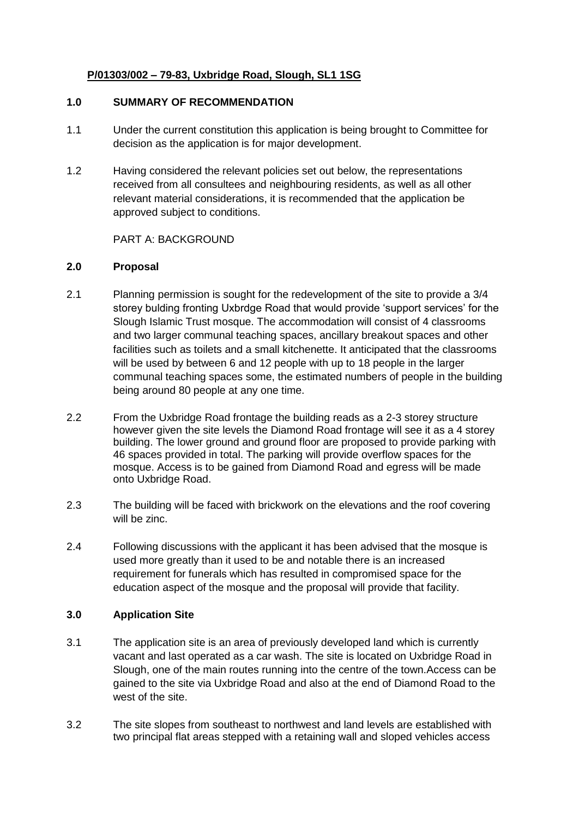# **P/01303/002 – 79-83, Uxbridge Road, Slough, SL1 1SG**

# **1.0 SUMMARY OF RECOMMENDATION**

- 1.1 Under the current constitution this application is being brought to Committee for decision as the application is for major development.
- 1.2 Having considered the relevant policies set out below, the representations received from all consultees and neighbouring residents, as well as all other relevant material considerations, it is recommended that the application be approved subject to conditions.

# PART A: BACKGROUND

# **2.0 Proposal**

- 2.1 Planning permission is sought for the redevelopment of the site to provide a 3/4 storey bulding fronting Uxbrdge Road that would provide 'support services' for the Slough Islamic Trust mosque. The accommodation will consist of 4 classrooms and two larger communal teaching spaces, ancillary breakout spaces and other facilities such as toilets and a small kitchenette. It anticipated that the classrooms will be used by between 6 and 12 people with up to 18 people in the larger communal teaching spaces some, the estimated numbers of people in the building being around 80 people at any one time.
- 2.2 From the Uxbridge Road frontage the building reads as a 2-3 storey structure however given the site levels the Diamond Road frontage will see it as a 4 storey building. The lower ground and ground floor are proposed to provide parking with 46 spaces provided in total. The parking will provide overflow spaces for the mosque. Access is to be gained from Diamond Road and egress will be made onto Uxbridge Road.
- 2.3 The building will be faced with brickwork on the elevations and the roof covering will be zinc.
- 2.4 Following discussions with the applicant it has been advised that the mosque is used more greatly than it used to be and notable there is an increased requirement for funerals which has resulted in compromised space for the education aspect of the mosque and the proposal will provide that facility.

# **3.0 Application Site**

- 3.1 The application site is an area of previously developed land which is currently vacant and last operated as a car wash. The site is located on Uxbridge Road in Slough, one of the main routes running into the centre of the town.Access can be gained to the site via Uxbridge Road and also at the end of Diamond Road to the west of the site.
- 3.2 The site slopes from southeast to northwest and land levels are established with two principal flat areas stepped with a retaining wall and sloped vehicles access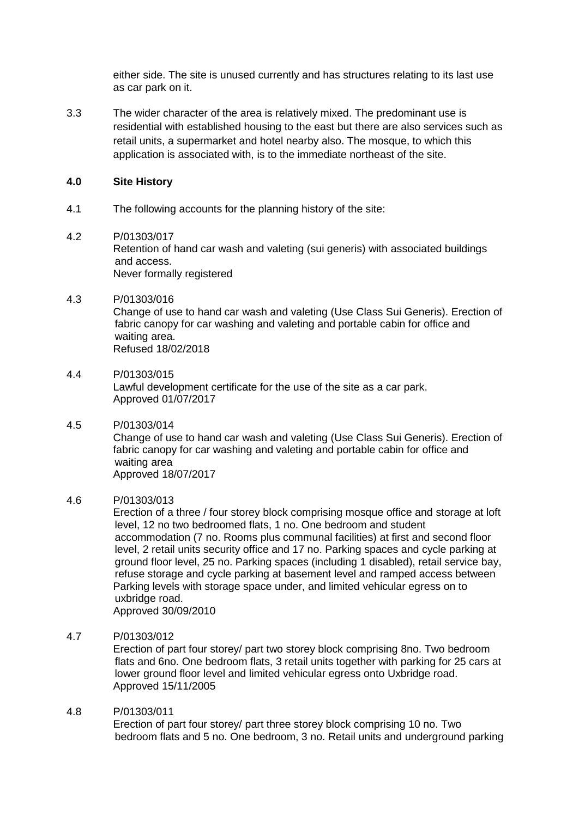either side. The site is unused currently and has structures relating to its last use as car park on it.

3.3 The wider character of the area is relatively mixed. The predominant use is residential with established housing to the east but there are also services such as retail units, a supermarket and hotel nearby also. The mosque, to which this application is associated with, is to the immediate northeast of the site.

# **4.0 Site History**

4.1 The following accounts for the planning history of the site:

## 4.2 P/01303/017

Retention of hand car wash and valeting (sui generis) with associated buildings and access. Never formally registered

## 4.3 P/01303/016

Change of use to hand car wash and valeting (Use Class Sui Generis). Erection of fabric canopy for car washing and valeting and portable cabin for office and waiting area. Refused 18/02/2018

## 4.4 P/01303/015

Lawful development certificate for the use of the site as a car park. Approved 01/07/2017

## 4.5 P/01303/014

Change of use to hand car wash and valeting (Use Class Sui Generis). Erection of fabric canopy for car washing and valeting and portable cabin for office and waiting area Approved 18/07/2017

## 4.6 P/01303/013

Erection of a three / four storey block comprising mosque office and storage at loft level, 12 no two bedroomed flats, 1 no. One bedroom and student accommodation (7 no. Rooms plus communal facilities) at first and second floor level, 2 retail units security office and 17 no. Parking spaces and cycle parking at ground floor level, 25 no. Parking spaces (including 1 disabled), retail service bay, refuse storage and cycle parking at basement level and ramped access between Parking levels with storage space under, and limited vehicular egress on to uxbridge road.

Approved 30/09/2010

# 4.7 P/01303/012

Erection of part four storey/ part two storey block comprising 8no. Two bedroom flats and 6no. One bedroom flats, 3 retail units together with parking for 25 cars at lower ground floor level and limited vehicular egress onto Uxbridge road. Approved 15/11/2005

## 4.8 P/01303/011

Erection of part four storey/ part three storey block comprising 10 no. Two bedroom flats and 5 no. One bedroom, 3 no. Retail units and underground parking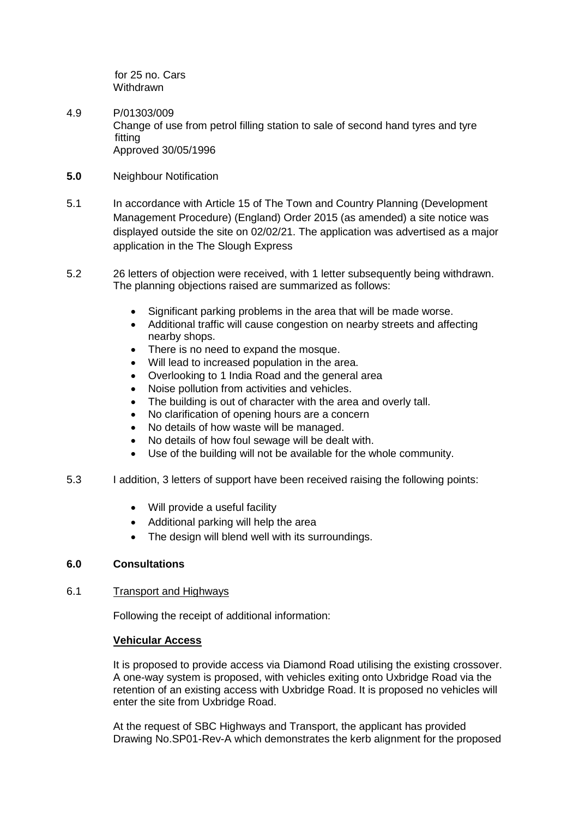for 25 no. Cars **Withdrawn** 

- 4.9 P/01303/009 Change of use from petrol filling station to sale of second hand tyres and tyre fitting Approved 30/05/1996
- **5.0** Neighbour Notification
- 5.1 In accordance with Article 15 of The Town and Country Planning (Development Management Procedure) (England) Order 2015 (as amended) a site notice was displayed outside the site on 02/02/21. The application was advertised as a major application in the The Slough Express
- 5.2 26 letters of objection were received, with 1 letter subsequently being withdrawn. The planning objections raised are summarized as follows:
	- Significant parking problems in the area that will be made worse.
	- Additional traffic will cause congestion on nearby streets and affecting nearby shops.
	- There is no need to expand the mosque.
	- Will lead to increased population in the area.
	- Overlooking to 1 India Road and the general area
	- Noise pollution from activities and vehicles.
	- The building is out of character with the area and overly tall.
	- No clarification of opening hours are a concern
	- No details of how waste will be managed.
	- No details of how foul sewage will be dealt with.
	- Use of the building will not be available for the whole community.
- 5.3 I addition, 3 letters of support have been received raising the following points:
	- Will provide a useful facility
	- Additional parking will help the area
	- The design will blend well with its surroundings.

## **6.0 Consultations**

## 6.1 Transport and Highways

Following the receipt of additional information:

## **Vehicular Access**

It is proposed to provide access via Diamond Road utilising the existing crossover. A one-way system is proposed, with vehicles exiting onto Uxbridge Road via the retention of an existing access with Uxbridge Road. It is proposed no vehicles will enter the site from Uxbridge Road.

At the request of SBC Highways and Transport, the applicant has provided Drawing No.SP01-Rev-A which demonstrates the kerb alignment for the proposed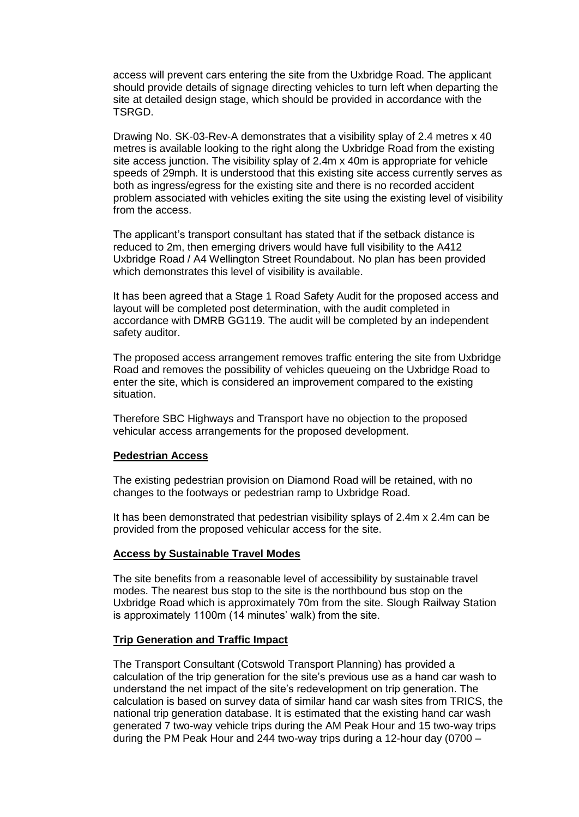access will prevent cars entering the site from the Uxbridge Road. The applicant should provide details of signage directing vehicles to turn left when departing the site at detailed design stage, which should be provided in accordance with the TSRGD.

Drawing No. SK-03-Rev-A demonstrates that a visibility splay of 2.4 metres x 40 metres is available looking to the right along the Uxbridge Road from the existing site access junction. The visibility splay of 2.4m x 40m is appropriate for vehicle speeds of 29mph. It is understood that this existing site access currently serves as both as ingress/egress for the existing site and there is no recorded accident problem associated with vehicles exiting the site using the existing level of visibility from the access.

The applicant's transport consultant has stated that if the setback distance is reduced to 2m, then emerging drivers would have full visibility to the A412 Uxbridge Road / A4 Wellington Street Roundabout. No plan has been provided which demonstrates this level of visibility is available.

It has been agreed that a Stage 1 Road Safety Audit for the proposed access and layout will be completed post determination, with the audit completed in accordance with DMRB GG119. The audit will be completed by an independent safety auditor.

The proposed access arrangement removes traffic entering the site from Uxbridge Road and removes the possibility of vehicles queueing on the Uxbridge Road to enter the site, which is considered an improvement compared to the existing situation.

Therefore SBC Highways and Transport have no objection to the proposed vehicular access arrangements for the proposed development.

# **Pedestrian Access**

The existing pedestrian provision on Diamond Road will be retained, with no changes to the footways or pedestrian ramp to Uxbridge Road.

It has been demonstrated that pedestrian visibility splays of 2.4m x 2.4m can be provided from the proposed vehicular access for the site.

## **Access by Sustainable Travel Modes**

The site benefits from a reasonable level of accessibility by sustainable travel modes. The nearest bus stop to the site is the northbound bus stop on the Uxbridge Road which is approximately 70m from the site. Slough Railway Station is approximately 1100m (14 minutes' walk) from the site.

## **Trip Generation and Traffic Impact**

The Transport Consultant (Cotswold Transport Planning) has provided a calculation of the trip generation for the site's previous use as a hand car wash to understand the net impact of the site's redevelopment on trip generation. The calculation is based on survey data of similar hand car wash sites from TRICS, the national trip generation database. It is estimated that the existing hand car wash generated 7 two-way vehicle trips during the AM Peak Hour and 15 two-way trips during the PM Peak Hour and 244 two-way trips during a 12-hour day (0700 –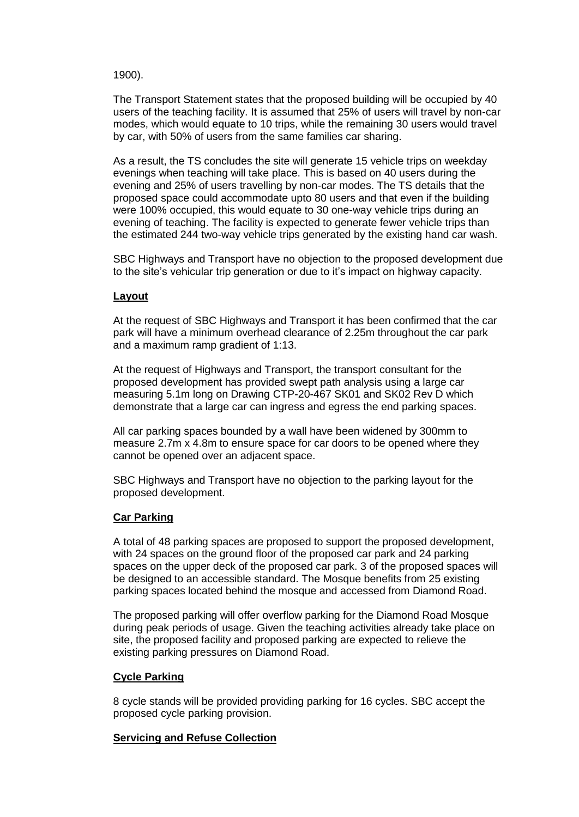1900).

The Transport Statement states that the proposed building will be occupied by 40 users of the teaching facility. It is assumed that 25% of users will travel by non-car modes, which would equate to 10 trips, while the remaining 30 users would travel by car, with 50% of users from the same families car sharing.

As a result, the TS concludes the site will generate 15 vehicle trips on weekday evenings when teaching will take place. This is based on 40 users during the evening and 25% of users travelling by non-car modes. The TS details that the proposed space could accommodate upto 80 users and that even if the building were 100% occupied, this would equate to 30 one-way vehicle trips during an evening of teaching. The facility is expected to generate fewer vehicle trips than the estimated 244 two-way vehicle trips generated by the existing hand car wash.

SBC Highways and Transport have no objection to the proposed development due to the site's vehicular trip generation or due to it's impact on highway capacity.

# **Layout**

At the request of SBC Highways and Transport it has been confirmed that the car park will have a minimum overhead clearance of 2.25m throughout the car park and a maximum ramp gradient of 1:13.

At the request of Highways and Transport, the transport consultant for the proposed development has provided swept path analysis using a large car measuring 5.1m long on Drawing CTP-20-467 SK01 and SK02 Rev D which demonstrate that a large car can ingress and egress the end parking spaces.

All car parking spaces bounded by a wall have been widened by 300mm to measure 2.7m x 4.8m to ensure space for car doors to be opened where they cannot be opened over an adjacent space.

SBC Highways and Transport have no objection to the parking layout for the proposed development.

## **Car Parking**

A total of 48 parking spaces are proposed to support the proposed development, with 24 spaces on the ground floor of the proposed car park and 24 parking spaces on the upper deck of the proposed car park. 3 of the proposed spaces will be designed to an accessible standard. The Mosque benefits from 25 existing parking spaces located behind the mosque and accessed from Diamond Road.

The proposed parking will offer overflow parking for the Diamond Road Mosque during peak periods of usage. Given the teaching activities already take place on site, the proposed facility and proposed parking are expected to relieve the existing parking pressures on Diamond Road.

## **Cycle Parking**

8 cycle stands will be provided providing parking for 16 cycles. SBC accept the proposed cycle parking provision.

## **Servicing and Refuse Collection**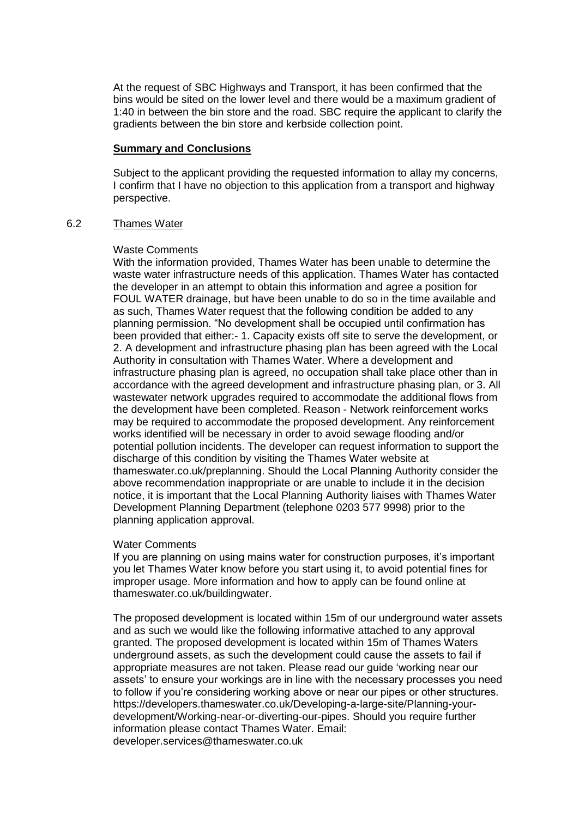At the request of SBC Highways and Transport, it has been confirmed that the bins would be sited on the lower level and there would be a maximum gradient of 1:40 in between the bin store and the road. SBC require the applicant to clarify the gradients between the bin store and kerbside collection point.

## **Summary and Conclusions**

Subject to the applicant providing the requested information to allay my concerns, I confirm that I have no objection to this application from a transport and highway perspective.

## 6.2 Thames Water

#### Waste Comments

With the information provided, Thames Water has been unable to determine the waste water infrastructure needs of this application. Thames Water has contacted the developer in an attempt to obtain this information and agree a position for FOUL WATER drainage, but have been unable to do so in the time available and as such, Thames Water request that the following condition be added to any planning permission. "No development shall be occupied until confirmation has been provided that either:- 1. Capacity exists off site to serve the development, or 2. A development and infrastructure phasing plan has been agreed with the Local Authority in consultation with Thames Water. Where a development and infrastructure phasing plan is agreed, no occupation shall take place other than in accordance with the agreed development and infrastructure phasing plan, or 3. All wastewater network upgrades required to accommodate the additional flows from the development have been completed. Reason - Network reinforcement works may be required to accommodate the proposed development. Any reinforcement works identified will be necessary in order to avoid sewage flooding and/or potential pollution incidents. The developer can request information to support the discharge of this condition by visiting the Thames Water website at thameswater.co.uk/preplanning. Should the Local Planning Authority consider the above recommendation inappropriate or are unable to include it in the decision notice, it is important that the Local Planning Authority liaises with Thames Water Development Planning Department (telephone 0203 577 9998) prior to the planning application approval.

## Water Comments

If you are planning on using mains water for construction purposes, it's important you let Thames Water know before you start using it, to avoid potential fines for improper usage. More information and how to apply can be found online at thameswater.co.uk/buildingwater.

The proposed development is located within 15m of our underground water assets and as such we would like the following informative attached to any approval granted. The proposed development is located within 15m of Thames Waters underground assets, as such the development could cause the assets to fail if appropriate measures are not taken. Please read our guide 'working near our assets' to ensure your workings are in line with the necessary processes you need to follow if you're considering working above or near our pipes or other structures. [https://developers.thameswater.co.uk/Developing-a-large-site/Planning-your](https://developers.thameswater.co.uk/Developing-a-large-site/Planning-your-development/Working-near-or-diverting-our-pipes)[development/Working-near-or-diverting-our-pipes.](https://developers.thameswater.co.uk/Developing-a-large-site/Planning-your-development/Working-near-or-diverting-our-pipes) Should you require further information please contact Thames Water. Email: [developer.services@thameswater.co.uk](mailto:developer.services@thameswater.co.uk)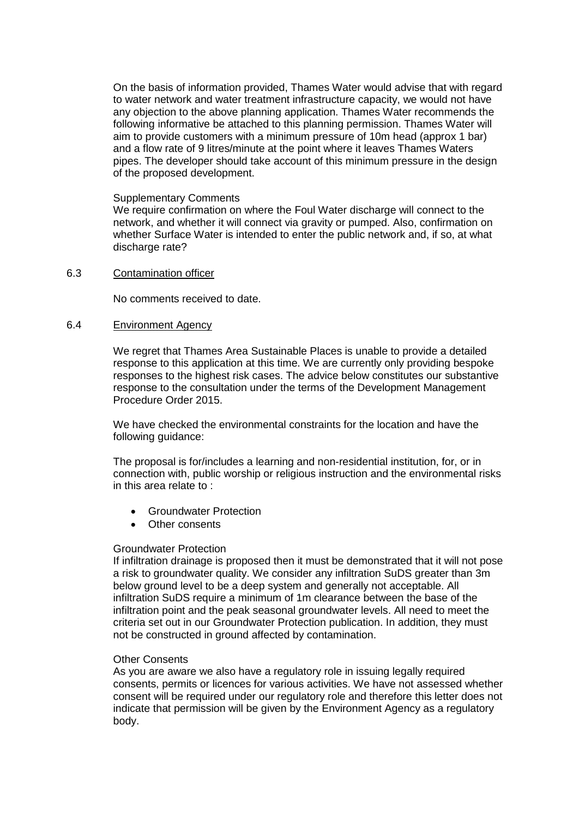On the basis of information provided, Thames Water would advise that with regard to water network and water treatment infrastructure capacity, we would not have any objection to the above planning application. Thames Water recommends the following informative be attached to this planning permission. Thames Water will aim to provide customers with a minimum pressure of 10m head (approx 1 bar) and a flow rate of 9 litres/minute at the point where it leaves Thames Waters pipes. The developer should take account of this minimum pressure in the design of the proposed development.

#### Supplementary Comments

We require confirmation on where the Foul Water discharge will connect to the network, and whether it will connect via gravity or pumped. Also, confirmation on whether Surface Water is intended to enter the public network and, if so, at what discharge rate?

#### 6.3 Contamination officer

No comments received to date.

#### 6.4 Environment Agency

We regret that Thames Area Sustainable Places is unable to provide a detailed response to this application at this time. We are currently only providing bespoke responses to the highest risk cases. The advice below constitutes our substantive response to the consultation under the terms of the Development Management Procedure Order 2015.

We have checked the environmental constraints for the location and have the following guidance:

The proposal is for/includes a learning and non-residential institution, for, or in connection with, public worship or religious instruction and the environmental risks in this area relate to :

- Groundwater Protection
- Other consents

## Groundwater Protection

If infiltration drainage is proposed then it must be demonstrated that it will not pose a risk to groundwater quality. We consider any infiltration SuDS greater than 3m below ground level to be a deep system and generally not acceptable. All infiltration SuDS require a minimum of 1m clearance between the base of the infiltration point and the peak seasonal groundwater levels. All need to meet the criteria set out in our [Groundwater Protection publication.](https://www.gov.uk/government/collections/groundwater-protection) In addition, they must not be constructed in ground affected by contamination.

## Other Consents

As you are aware we also have a regulatory role in issuing legally required consents, permits or licences for various activities. We have not assessed whether consent will be required under our regulatory role and therefore this letter does not indicate that permission will be given by the Environment Agency as a regulatory body.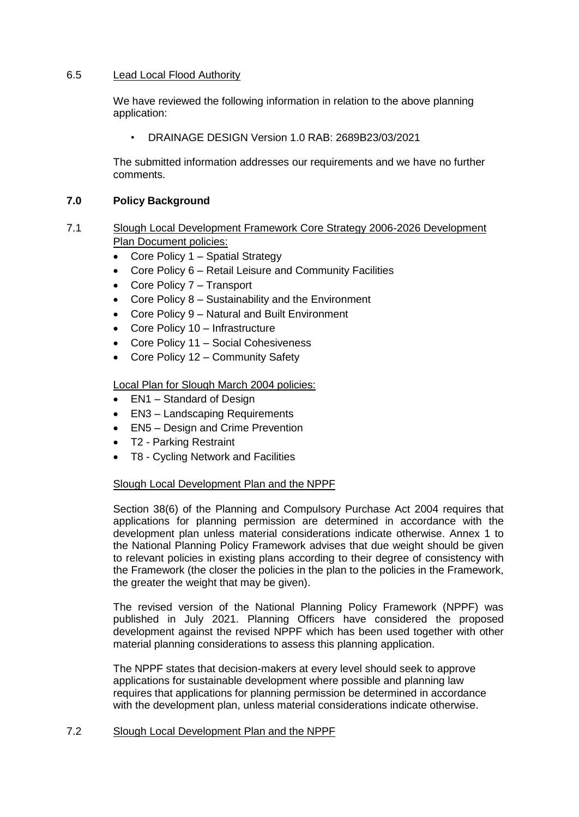# 6.5 Lead Local Flood Authority

We have reviewed the following information in relation to the above planning application:

• DRAINAGE DESIGN Version 1.0 RAB: 2689B23/03/2021

The submitted information addresses our requirements and we have no further comments.

# **7.0 Policy Background**

- 7.1 Slough Local Development Framework Core Strategy 2006-2026 Development Plan Document policies:
	- Core Policy 1 Spatial Strategy
	- Core Policy 6 Retail Leisure and Community Facilities
	- Core Policy 7 Transport
	- Core Policy 8 Sustainability and the Environment
	- Core Policy 9 Natural and Built Environment
	- Core Policy 10 Infrastructure
	- Core Policy 11 Social Cohesiveness
	- Core Policy 12 Community Safety

Local Plan for Slough March 2004 policies:

- EN1 Standard of Design
- EN3 Landscaping Requirements
- EN5 Design and Crime Prevention
- T2 Parking Restraint
- T8 Cycling Network and Facilities

# Slough Local Development Plan and the NPPF

Section 38(6) of the Planning and Compulsory Purchase Act 2004 requires that applications for planning permission are determined in accordance with the development plan unless material considerations indicate otherwise. Annex 1 to the National Planning Policy Framework advises that due weight should be given to relevant policies in existing plans according to their degree of consistency with the Framework (the closer the policies in the plan to the policies in the Framework, the greater the weight that may be given).

The revised version of the National Planning Policy Framework (NPPF) was published in July 2021. Planning Officers have considered the proposed development against the revised NPPF which has been used together with other material planning considerations to assess this planning application.

The NPPF states that decision-makers at every level should seek to approve applications for sustainable development where possible and planning law requires that applications for planning permission be determined in accordance with the development plan, unless material considerations indicate otherwise.

# 7.2 Slough Local Development Plan and the NPPF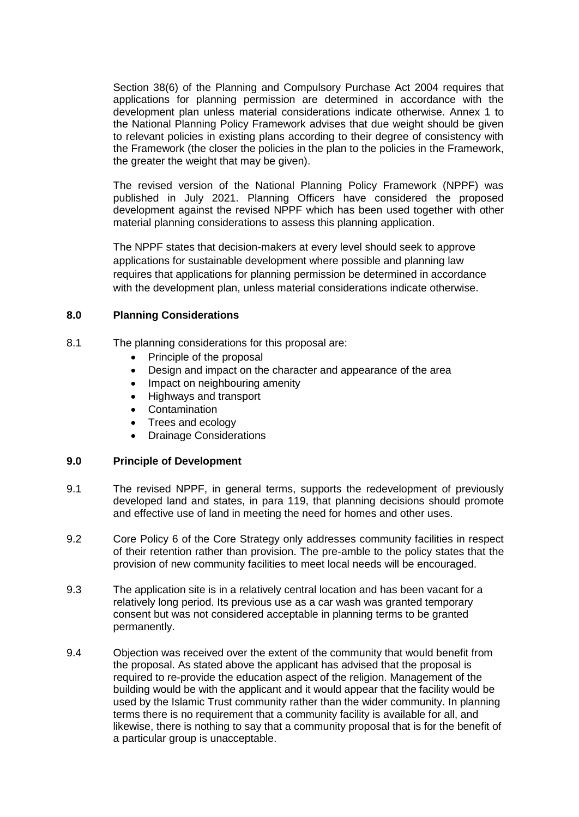Section 38(6) of the Planning and Compulsory Purchase Act 2004 requires that applications for planning permission are determined in accordance with the development plan unless material considerations indicate otherwise. Annex 1 to the National Planning Policy Framework advises that due weight should be given to relevant policies in existing plans according to their degree of consistency with the Framework (the closer the policies in the plan to the policies in the Framework, the greater the weight that may be given).

The revised version of the National Planning Policy Framework (NPPF) was published in July 2021. Planning Officers have considered the proposed development against the revised NPPF which has been used together with other material planning considerations to assess this planning application.

The NPPF states that decision-makers at every level should seek to approve applications for sustainable development where possible and planning law requires that applications for planning permission be determined in accordance with the development plan, unless material considerations indicate otherwise.

# **8.0 Planning Considerations**

- 8.1 The planning considerations for this proposal are:
	- Principle of the proposal
	- Design and impact on the character and appearance of the area
	- Impact on neighbouring amenity
	- Highways and transport
	- Contamination
	- Trees and ecology
	- Drainage Considerations

## **9.0 Principle of Development**

- 9.1 The revised NPPF, in general terms, supports the redevelopment of previously developed land and states, in para 119, that planning decisions should promote and effective use of land in meeting the need for homes and other uses.
- 9.2 Core Policy 6 of the Core Strategy only addresses community facilities in respect of their retention rather than provision. The pre-amble to the policy states that the provision of new community facilities to meet local needs will be encouraged.
- 9.3 The application site is in a relatively central location and has been vacant for a relatively long period. Its previous use as a car wash was granted temporary consent but was not considered acceptable in planning terms to be granted permanently.
- 9.4 Objection was received over the extent of the community that would benefit from the proposal. As stated above the applicant has advised that the proposal is required to re-provide the education aspect of the religion. Management of the building would be with the applicant and it would appear that the facility would be used by the Islamic Trust community rather than the wider community. In planning terms there is no requirement that a community facility is available for all, and likewise, there is nothing to say that a community proposal that is for the benefit of a particular group is unacceptable.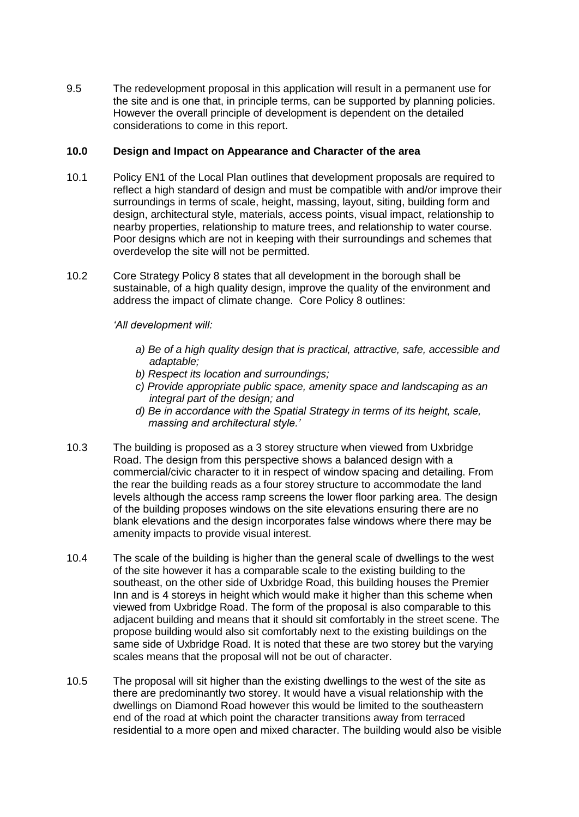9.5 The redevelopment proposal in this application will result in a permanent use for the site and is one that, in principle terms, can be supported by planning policies. However the overall principle of development is dependent on the detailed considerations to come in this report.

# **10.0 Design and Impact on Appearance and Character of the area**

- 10.1 Policy EN1 of the Local Plan outlines that development proposals are required to reflect a high standard of design and must be compatible with and/or improve their surroundings in terms of scale, height, massing, layout, siting, building form and design, architectural style, materials, access points, visual impact, relationship to nearby properties, relationship to mature trees, and relationship to water course. Poor designs which are not in keeping with their surroundings and schemes that overdevelop the site will not be permitted.
- 10.2 Core Strategy Policy 8 states that all development in the borough shall be sustainable, of a high quality design, improve the quality of the environment and address the impact of climate change. Core Policy 8 outlines:

## *'All development will:*

- *a) Be of a high quality design that is practical, attractive, safe, accessible and adaptable;*
- *b) Respect its location and surroundings;*
- *c) Provide appropriate public space, amenity space and landscaping as an integral part of the design; and*
- *d) Be in accordance with the Spatial Strategy in terms of its height, scale, massing and architectural style.'*
- 10.3 The building is proposed as a 3 storey structure when viewed from Uxbridge Road. The design from this perspective shows a balanced design with a commercial/civic character to it in respect of window spacing and detailing. From the rear the building reads as a four storey structure to accommodate the land levels although the access ramp screens the lower floor parking area. The design of the building proposes windows on the site elevations ensuring there are no blank elevations and the design incorporates false windows where there may be amenity impacts to provide visual interest.
- 10.4 The scale of the building is higher than the general scale of dwellings to the west of the site however it has a comparable scale to the existing building to the southeast, on the other side of Uxbridge Road, this building houses the Premier Inn and is 4 storeys in height which would make it higher than this scheme when viewed from Uxbridge Road. The form of the proposal is also comparable to this adjacent building and means that it should sit comfortably in the street scene. The propose building would also sit comfortably next to the existing buildings on the same side of Uxbridge Road. It is noted that these are two storey but the varying scales means that the proposal will not be out of character.
- 10.5 The proposal will sit higher than the existing dwellings to the west of the site as there are predominantly two storey. It would have a visual relationship with the dwellings on Diamond Road however this would be limited to the southeastern end of the road at which point the character transitions away from terraced residential to a more open and mixed character. The building would also be visible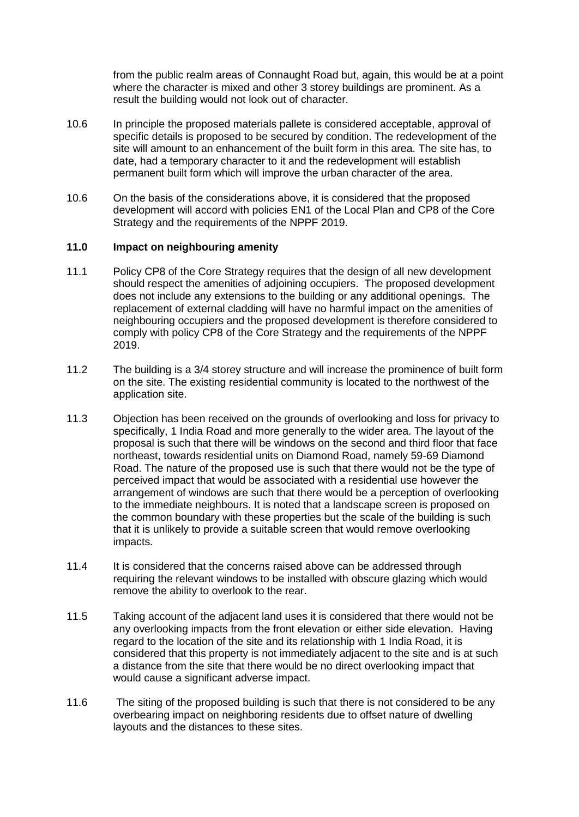from the public realm areas of Connaught Road but, again, this would be at a point where the character is mixed and other 3 storey buildings are prominent. As a result the building would not look out of character.

- 10.6 In principle the proposed materials pallete is considered acceptable, approval of specific details is proposed to be secured by condition. The redevelopment of the site will amount to an enhancement of the built form in this area. The site has, to date, had a temporary character to it and the redevelopment will establish permanent built form which will improve the urban character of the area.
- 10.6 On the basis of the considerations above, it is considered that the proposed development will accord with policies EN1 of the Local Plan and CP8 of the Core Strategy and the requirements of the NPPF 2019.

## **11.0 Impact on neighbouring amenity**

- 11.1 Policy CP8 of the Core Strategy requires that the design of all new development should respect the amenities of adjoining occupiers. The proposed development does not include any extensions to the building or any additional openings. The replacement of external cladding will have no harmful impact on the amenities of neighbouring occupiers and the proposed development is therefore considered to comply with policy CP8 of the Core Strategy and the requirements of the NPPF 2019.
- 11.2 The building is a 3/4 storey structure and will increase the prominence of built form on the site. The existing residential community is located to the northwest of the application site.
- 11.3 Objection has been received on the grounds of overlooking and loss for privacy to specifically, 1 India Road and more generally to the wider area. The layout of the proposal is such that there will be windows on the second and third floor that face northeast, towards residential units on Diamond Road, namely 59-69 Diamond Road. The nature of the proposed use is such that there would not be the type of perceived impact that would be associated with a residential use however the arrangement of windows are such that there would be a perception of overlooking to the immediate neighbours. It is noted that a landscape screen is proposed on the common boundary with these properties but the scale of the building is such that it is unlikely to provide a suitable screen that would remove overlooking impacts.
- 11.4 It is considered that the concerns raised above can be addressed through requiring the relevant windows to be installed with obscure glazing which would remove the ability to overlook to the rear.
- 11.5 Taking account of the adjacent land uses it is considered that there would not be any overlooking impacts from the front elevation or either side elevation. Having regard to the location of the site and its relationship with 1 India Road, it is considered that this property is not immediately adjacent to the site and is at such a distance from the site that there would be no direct overlooking impact that would cause a significant adverse impact.
- 11.6 The siting of the proposed building is such that there is not considered to be any overbearing impact on neighboring residents due to offset nature of dwelling layouts and the distances to these sites.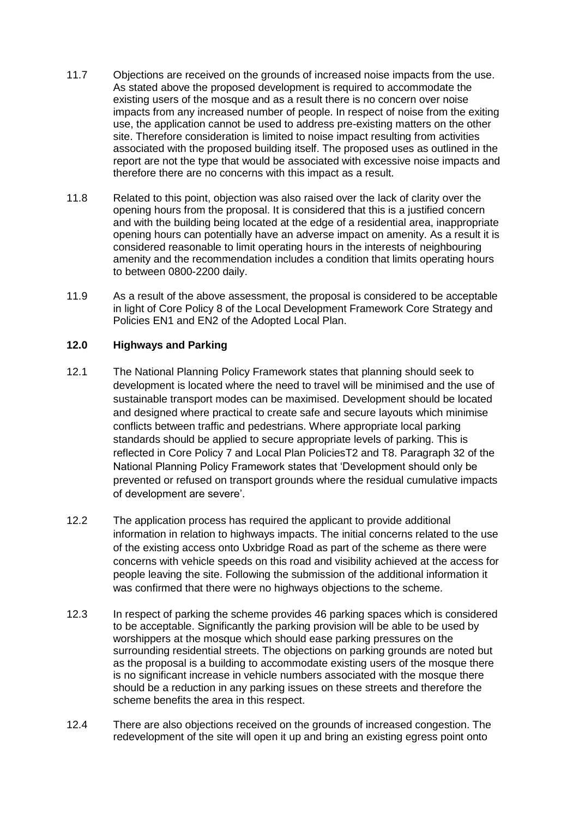- 11.7 Objections are received on the grounds of increased noise impacts from the use. As stated above the proposed development is required to accommodate the existing users of the mosque and as a result there is no concern over noise impacts from any increased number of people. In respect of noise from the exiting use, the application cannot be used to address pre-existing matters on the other site. Therefore consideration is limited to noise impact resulting from activities associated with the proposed building itself. The proposed uses as outlined in the report are not the type that would be associated with excessive noise impacts and therefore there are no concerns with this impact as a result.
- 11.8 Related to this point, objection was also raised over the lack of clarity over the opening hours from the proposal. It is considered that this is a justified concern and with the building being located at the edge of a residential area, inappropriate opening hours can potentially have an adverse impact on amenity. As a result it is considered reasonable to limit operating hours in the interests of neighbouring amenity and the recommendation includes a condition that limits operating hours to between 0800-2200 daily.
- 11.9 As a result of the above assessment, the proposal is considered to be acceptable in light of Core Policy 8 of the Local Development Framework Core Strategy and Policies EN1 and EN2 of the Adopted Local Plan.

# **12.0 Highways and Parking**

- 12.1 The National Planning Policy Framework states that planning should seek to development is located where the need to travel will be minimised and the use of sustainable transport modes can be maximised. Development should be located and designed where practical to create safe and secure layouts which minimise conflicts between traffic and pedestrians. Where appropriate local parking standards should be applied to secure appropriate levels of parking. This is reflected in Core Policy 7 and Local Plan PoliciesT2 and T8. Paragraph 32 of the National Planning Policy Framework states that 'Development should only be prevented or refused on transport grounds where the residual cumulative impacts of development are severe'.
- 12.2 The application process has required the applicant to provide additional information in relation to highways impacts. The initial concerns related to the use of the existing access onto Uxbridge Road as part of the scheme as there were concerns with vehicle speeds on this road and visibility achieved at the access for people leaving the site. Following the submission of the additional information it was confirmed that there were no highways objections to the scheme.
- 12.3 In respect of parking the scheme provides 46 parking spaces which is considered to be acceptable. Significantly the parking provision will be able to be used by worshippers at the mosque which should ease parking pressures on the surrounding residential streets. The objections on parking grounds are noted but as the proposal is a building to accommodate existing users of the mosque there is no significant increase in vehicle numbers associated with the mosque there should be a reduction in any parking issues on these streets and therefore the scheme benefits the area in this respect.
- 12.4 There are also objections received on the grounds of increased congestion. The redevelopment of the site will open it up and bring an existing egress point onto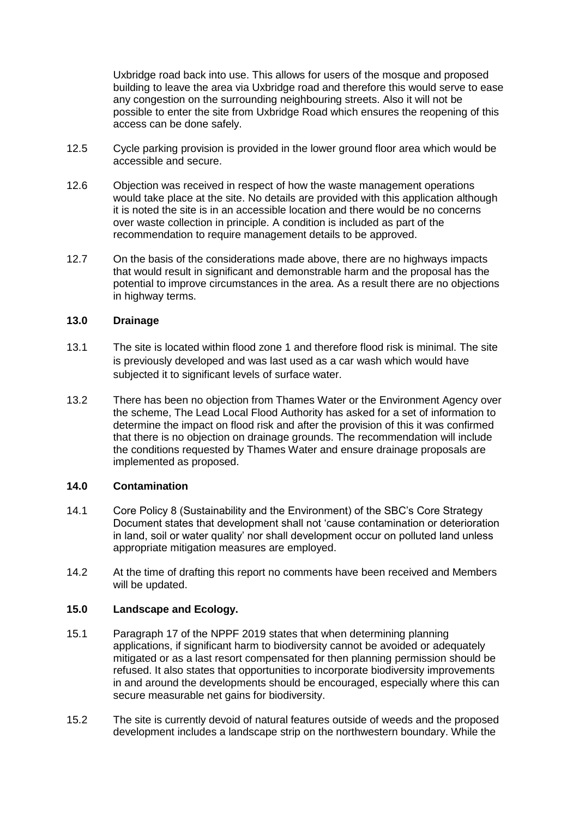Uxbridge road back into use. This allows for users of the mosque and proposed building to leave the area via Uxbridge road and therefore this would serve to ease any congestion on the surrounding neighbouring streets. Also it will not be possible to enter the site from Uxbridge Road which ensures the reopening of this access can be done safely.

- 12.5 Cycle parking provision is provided in the lower ground floor area which would be accessible and secure.
- 12.6 Objection was received in respect of how the waste management operations would take place at the site. No details are provided with this application although it is noted the site is in an accessible location and there would be no concerns over waste collection in principle. A condition is included as part of the recommendation to require management details to be approved.
- 12.7 On the basis of the considerations made above, there are no highways impacts that would result in significant and demonstrable harm and the proposal has the potential to improve circumstances in the area. As a result there are no objections in highway terms.

# **13.0 Drainage**

- 13.1 The site is located within flood zone 1 and therefore flood risk is minimal. The site is previously developed and was last used as a car wash which would have subjected it to significant levels of surface water.
- 13.2 There has been no objection from Thames Water or the Environment Agency over the scheme, The Lead Local Flood Authority has asked for a set of information to determine the impact on flood risk and after the provision of this it was confirmed that there is no objection on drainage grounds. The recommendation will include the conditions requested by Thames Water and ensure drainage proposals are implemented as proposed.

# **14.0 Contamination**

- 14.1 Core Policy 8 (Sustainability and the Environment) of the SBC's Core Strategy Document states that development shall not 'cause contamination or deterioration in land, soil or water quality' nor shall development occur on polluted land unless appropriate mitigation measures are employed.
- 14.2 At the time of drafting this report no comments have been received and Members will be updated.

# **15.0 Landscape and Ecology.**

- 15.1 Paragraph 17 of the NPPF 2019 states that when determining planning applications, if significant harm to biodiversity cannot be avoided or adequately mitigated or as a last resort compensated for then planning permission should be refused. It also states that opportunities to incorporate biodiversity improvements in and around the developments should be encouraged, especially where this can secure measurable net gains for biodiversity.
- 15.2 The site is currently devoid of natural features outside of weeds and the proposed development includes a landscape strip on the northwestern boundary. While the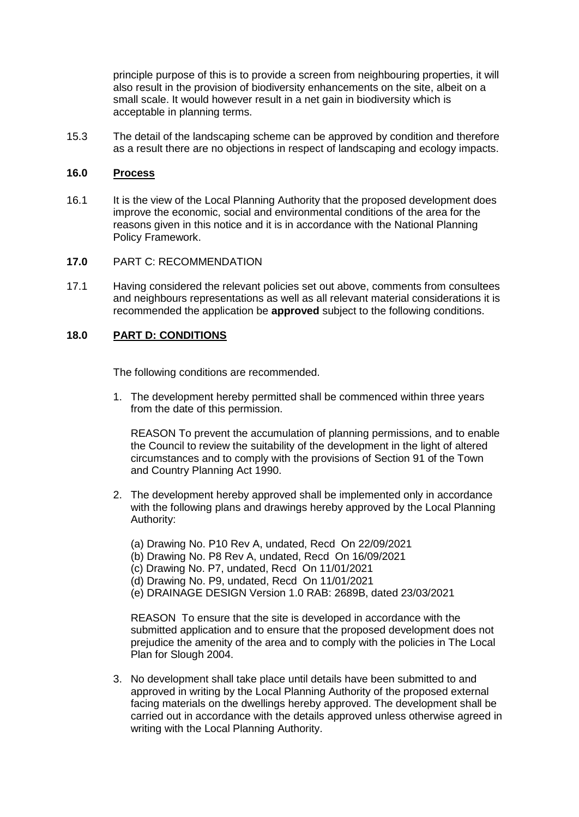principle purpose of this is to provide a screen from neighbouring properties, it will also result in the provision of biodiversity enhancements on the site, albeit on a small scale. It would however result in a net gain in biodiversity which is acceptable in planning terms.

15.3 The detail of the landscaping scheme can be approved by condition and therefore as a result there are no objections in respect of landscaping and ecology impacts.

## **16.0 Process**

- 16.1 It is the view of the Local Planning Authority that the proposed development does improve the economic, social and environmental conditions of the area for the reasons given in this notice and it is in accordance with the National Planning Policy Framework.
- **17.0** PART C: RECOMMENDATION
- 17.1 Having considered the relevant policies set out above, comments from consultees and neighbours representations as well as all relevant material considerations it is recommended the application be **approved** subject to the following conditions.

# **18.0 PART D: CONDITIONS**

The following conditions are recommended.

1. The development hereby permitted shall be commenced within three years from the date of this permission.

REASON To prevent the accumulation of planning permissions, and to enable the Council to review the suitability of the development in the light of altered circumstances and to comply with the provisions of Section 91 of the Town and Country Planning Act 1990.

- 2. The development hereby approved shall be implemented only in accordance with the following plans and drawings hereby approved by the Local Planning Authority:
	- (a) Drawing No. P10 Rev A, undated, Recd On 22/09/2021
	- (b) Drawing No. P8 Rev A, undated, Recd On 16/09/2021
	- (c) Drawing No. P7, undated, Recd On 11/01/2021
	- (d) Drawing No. P9, undated, Recd On 11/01/2021
	- (e) DRAINAGE DESIGN Version 1.0 RAB: 2689B, dated 23/03/2021

REASON To ensure that the site is developed in accordance with the submitted application and to ensure that the proposed development does not prejudice the amenity of the area and to comply with the policies in The Local Plan for Slough 2004.

3. No development shall take place until details have been submitted to and approved in writing by the Local Planning Authority of the proposed external facing materials on the dwellings hereby approved. The development shall be carried out in accordance with the details approved unless otherwise agreed in writing with the Local Planning Authority.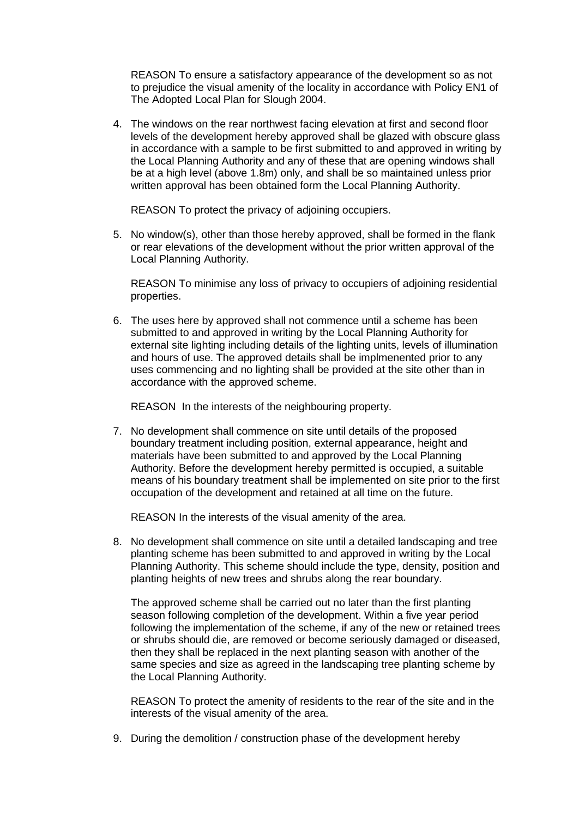REASON To ensure a satisfactory appearance of the development so as not to prejudice the visual amenity of the locality in accordance with Policy EN1 of The Adopted Local Plan for Slough 2004.

4. The windows on the rear northwest facing elevation at first and second floor levels of the development hereby approved shall be glazed with obscure glass in accordance with a sample to be first submitted to and approved in writing by the Local Planning Authority and any of these that are opening windows shall be at a high level (above 1.8m) only, and shall be so maintained unless prior written approval has been obtained form the Local Planning Authority.

REASON To protect the privacy of adjoining occupiers.

5. No window(s), other than those hereby approved, shall be formed in the flank or rear elevations of the development without the prior written approval of the Local Planning Authority.

REASON To minimise any loss of privacy to occupiers of adjoining residential properties.

6. The uses here by approved shall not commence until a scheme has been submitted to and approved in writing by the Local Planning Authority for external site lighting including details of the lighting units, levels of illumination and hours of use. The approved details shall be implmenented prior to any uses commencing and no lighting shall be provided at the site other than in accordance with the approved scheme.

REASON In the interests of the neighbouring property.

7. No development shall commence on site until details of the proposed boundary treatment including position, external appearance, height and materials have been submitted to and approved by the Local Planning Authority. Before the development hereby permitted is occupied, a suitable means of his boundary treatment shall be implemented on site prior to the first occupation of the development and retained at all time on the future.

REASON In the interests of the visual amenity of the area.

8. No development shall commence on site until a detailed landscaping and tree planting scheme has been submitted to and approved in writing by the Local Planning Authority. This scheme should include the type, density, position and planting heights of new trees and shrubs along the rear boundary.

The approved scheme shall be carried out no later than the first planting season following completion of the development. Within a five year period following the implementation of the scheme, if any of the new or retained trees or shrubs should die, are removed or become seriously damaged or diseased, then they shall be replaced in the next planting season with another of the same species and size as agreed in the landscaping tree planting scheme by the Local Planning Authority.

REASON To protect the amenity of residents to the rear of the site and in the interests of the visual amenity of the area.

9. During the demolition / construction phase of the development hereby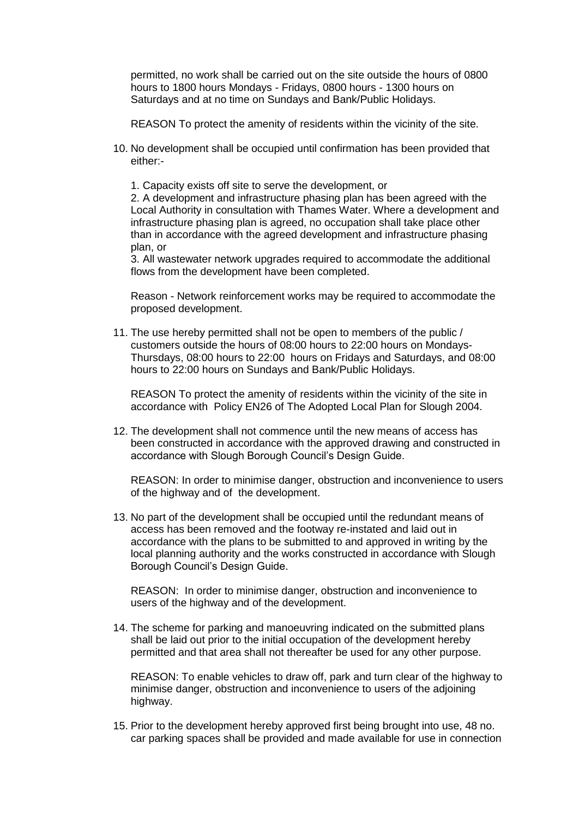permitted, no work shall be carried out on the site outside the hours of 0800 hours to 1800 hours Mondays - Fridays, 0800 hours - 1300 hours on Saturdays and at no time on Sundays and Bank/Public Holidays.

REASON To protect the amenity of residents within the vicinity of the site.

- 10. No development shall be occupied until confirmation has been provided that either:-
	- 1. Capacity exists off site to serve the development, or

2. A development and infrastructure phasing plan has been agreed with the Local Authority in consultation with Thames Water. Where a development and infrastructure phasing plan is agreed, no occupation shall take place other than in accordance with the agreed development and infrastructure phasing plan, or

3. All wastewater network upgrades required to accommodate the additional flows from the development have been completed.

Reason - Network reinforcement works may be required to accommodate the proposed development.

11. The use hereby permitted shall not be open to members of the public / customers outside the hours of 08:00 hours to 22:00 hours on Mondays-Thursdays, 08:00 hours to 22:00 hours on Fridays and Saturdays, and 08:00 hours to 22:00 hours on Sundays and Bank/Public Holidays.

REASON To protect the amenity of residents within the vicinity of the site in accordance with Policy EN26 of The Adopted Local Plan for Slough 2004.

12. The development shall not commence until the new means of access has been constructed in accordance with the approved drawing and constructed in accordance with Slough Borough Council's Design Guide.

REASON: In order to minimise danger, obstruction and inconvenience to users of the highway and of the development.

13. No part of the development shall be occupied until the redundant means of access has been removed and the footway re-instated and laid out in accordance with the plans to be submitted to and approved in writing by the local planning authority and the works constructed in accordance with Slough Borough Council's Design Guide.

REASON: In order to minimise danger, obstruction and inconvenience to users of the highway and of the development.

14. The scheme for parking and manoeuvring indicated on the submitted plans shall be laid out prior to the initial occupation of the development hereby permitted and that area shall not thereafter be used for any other purpose.

REASON: To enable vehicles to draw off, park and turn clear of the highway to minimise danger, obstruction and inconvenience to users of the adjoining highway.

15. Prior to the development hereby approved first being brought into use, 48 no. car parking spaces shall be provided and made available for use in connection